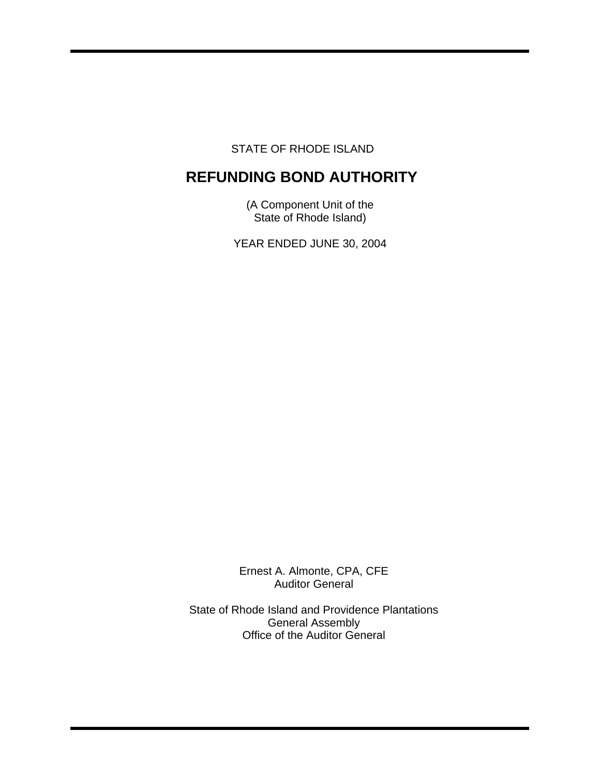STATE OF RHODE ISLAND

# **REFUNDING BOND AUTHORITY**

(A Component Unit of the State of Rhode Island)

YEAR ENDED JUNE 30, 2004

Ernest A. Almonte, CPA, CFE Auditor General

State of Rhode Island and Providence Plantations General Assembly Office of the Auditor General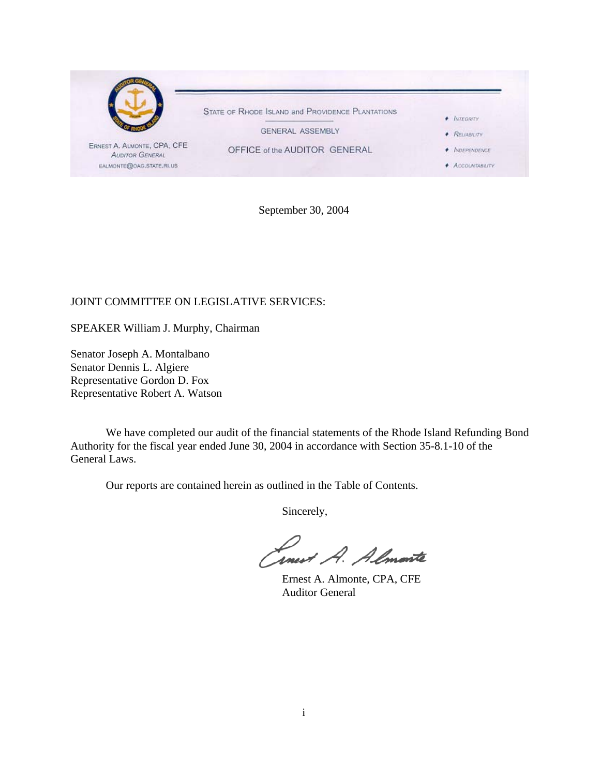

September 30, 2004

# JOINT COMMITTEE ON LEGISLATIVE SERVICES:

SPEAKER William J. Murphy, Chairman

Senator Joseph A. Montalbano Senator Dennis L. Algiere Representative Gordon D. Fox Representative Robert A. Watson

 We have completed our audit of the financial statements of the Rhode Island Refunding Bond Authority for the fiscal year ended June 30, 2004 in accordance with Section 35-8.1-10 of the General Laws.

Our reports are contained herein as outlined in the Table of Contents.

Sincerely,

Lowest A. Almonte

 Ernest A. Almonte, CPA, CFE Auditor General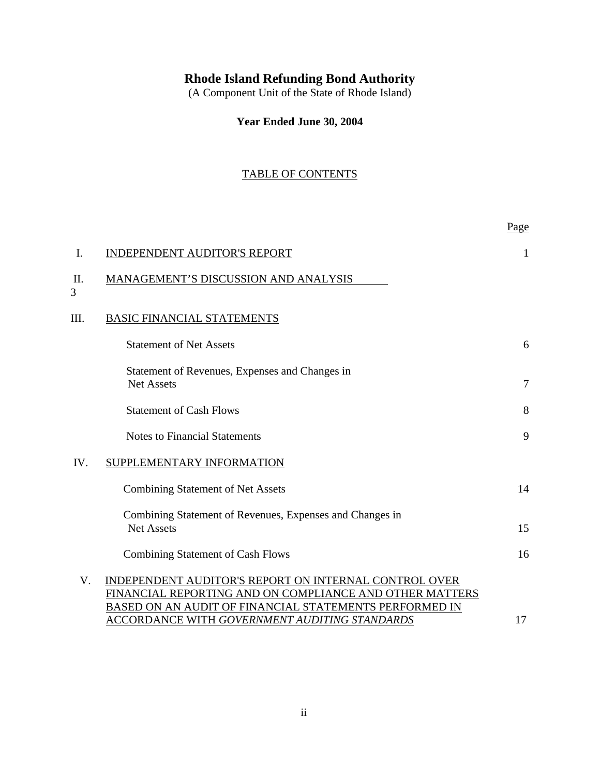# **Rhode Island Refunding Bond Authority**

(A Component Unit of the State of Rhode Island)

**Year Ended June 30, 2004**

# TABLE OF CONTENTS

|                                                                                                                                                                            | Page                                          |
|----------------------------------------------------------------------------------------------------------------------------------------------------------------------------|-----------------------------------------------|
| <b>INDEPENDENT AUDITOR'S REPORT</b>                                                                                                                                        | 1                                             |
| MANAGEMENT'S DISCUSSION AND ANALYSIS                                                                                                                                       |                                               |
| <b>BASIC FINANCIAL STATEMENTS</b>                                                                                                                                          |                                               |
| <b>Statement of Net Assets</b>                                                                                                                                             | 6                                             |
| Statement of Revenues, Expenses and Changes in<br><b>Net Assets</b>                                                                                                        | $\overline{7}$                                |
| <b>Statement of Cash Flows</b>                                                                                                                                             | 8                                             |
| <b>Notes to Financial Statements</b>                                                                                                                                       | 9                                             |
| SUPPLEMENTARY INFORMATION                                                                                                                                                  |                                               |
| <b>Combining Statement of Net Assets</b>                                                                                                                                   | 14                                            |
| Combining Statement of Revenues, Expenses and Changes in<br><b>Net Assets</b>                                                                                              | 15                                            |
| <b>Combining Statement of Cash Flows</b>                                                                                                                                   | 16                                            |
| INDEPENDENT AUDITOR'S REPORT ON INTERNAL CONTROL OVER<br>FINANCIAL REPORTING AND ON COMPLIANCE AND OTHER MATTERS<br>BASED ON AN AUDIT OF FINANCIAL STATEMENTS PERFORMED IN | 17                                            |
|                                                                                                                                                                            | ACCORDANCE WITH GOVERNMENT AUDITING STANDARDS |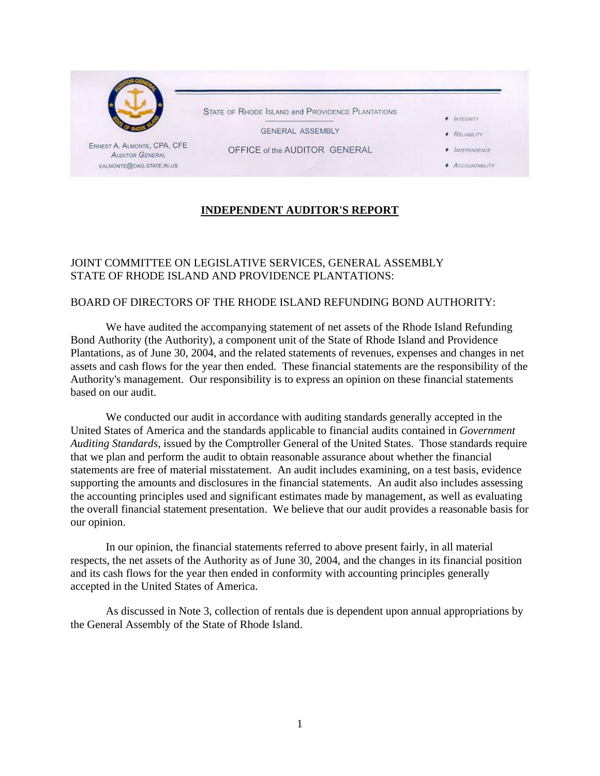

# **INDEPENDENT AUDITOR'S REPORT**

# JOINT COMMITTEE ON LEGISLATIVE SERVICES, GENERAL ASSEMBLY STATE OF RHODE ISLAND AND PROVIDENCE PLANTATIONS:

## BOARD OF DIRECTORS OF THE RHODE ISLAND REFUNDING BOND AUTHORITY:

We have audited the accompanying statement of net assets of the Rhode Island Refunding Bond Authority (the Authority), a component unit of the State of Rhode Island and Providence Plantations, as of June 30, 2004, and the related statements of revenues, expenses and changes in net assets and cash flows for the year then ended. These financial statements are the responsibility of the Authority's management. Our responsibility is to express an opinion on these financial statements based on our audit.

We conducted our audit in accordance with auditing standards generally accepted in the United States of America and the standards applicable to financial audits contained in *Government Auditing Standards*, issued by the Comptroller General of the United States. Those standards require that we plan and perform the audit to obtain reasonable assurance about whether the financial statements are free of material misstatement. An audit includes examining, on a test basis, evidence supporting the amounts and disclosures in the financial statements. An audit also includes assessing the accounting principles used and significant estimates made by management, as well as evaluating the overall financial statement presentation. We believe that our audit provides a reasonable basis for our opinion.

In our opinion, the financial statements referred to above present fairly, in all material respects, the net assets of the Authority as of June 30, 2004, and the changes in its financial position and its cash flows for the year then ended in conformity with accounting principles generally accepted in the United States of America.

As discussed in Note 3, collection of rentals due is dependent upon annual appropriations by the General Assembly of the State of Rhode Island.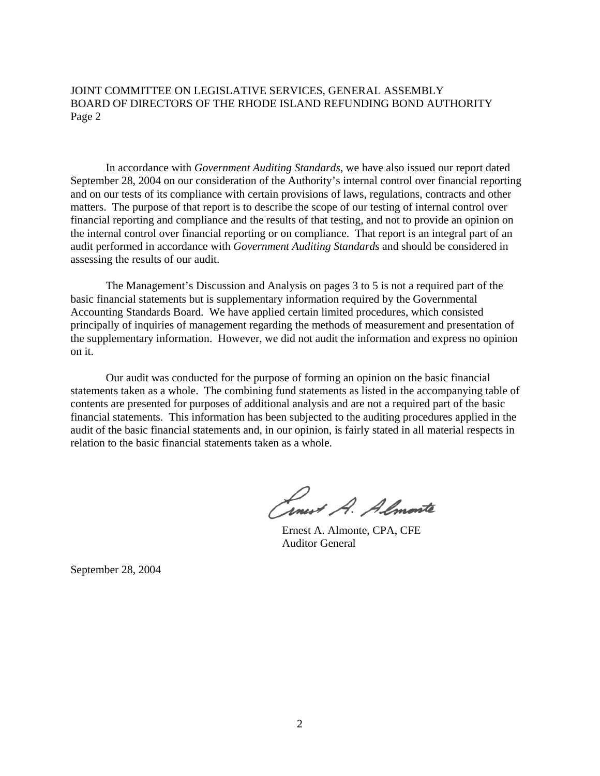JOINT COMMITTEE ON LEGISLATIVE SERVICES, GENERAL ASSEMBLY BOARD OF DIRECTORS OF THE RHODE ISLAND REFUNDING BOND AUTHORITY Page 2

In accordance with *Government Auditing Standards*, we have also issued our report dated September 28, 2004 on our consideration of the Authority's internal control over financial reporting and on our tests of its compliance with certain provisions of laws, regulations, contracts and other matters. The purpose of that report is to describe the scope of our testing of internal control over financial reporting and compliance and the results of that testing, and not to provide an opinion on the internal control over financial reporting or on compliance. That report is an integral part of an audit performed in accordance with *Government Auditing Standards* and should be considered in assessing the results of our audit.

The Management's Discussion and Analysis on pages 3 to 5 is not a required part of the basic financial statements but is supplementary information required by the Governmental Accounting Standards Board. We have applied certain limited procedures, which consisted principally of inquiries of management regarding the methods of measurement and presentation of the supplementary information. However, we did not audit the information and express no opinion on it.

Our audit was conducted for the purpose of forming an opinion on the basic financial statements taken as a whole. The combining fund statements as listed in the accompanying table of contents are presented for purposes of additional analysis and are not a required part of the basic financial statements. This information has been subjected to the auditing procedures applied in the audit of the basic financial statements and, in our opinion, is fairly stated in all material respects in relation to the basic financial statements taken as a whole.

Cinest A. Almente

 Ernest A. Almonte, CPA, CFE Auditor General

September 28, 2004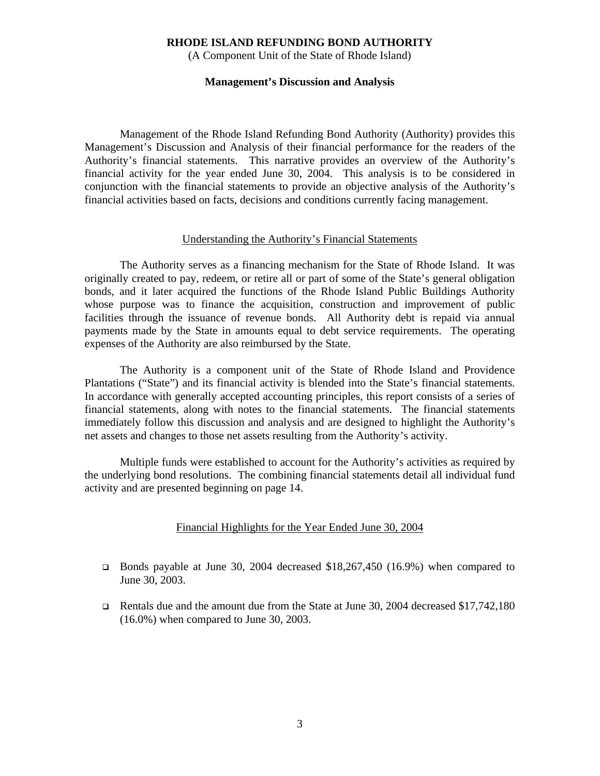(A Component Unit of the State of Rhode Island)

#### **Management's Discussion and Analysis**

Management of the Rhode Island Refunding Bond Authority (Authority) provides this Management's Discussion and Analysis of their financial performance for the readers of the Authority's financial statements. This narrative provides an overview of the Authority's financial activity for the year ended June 30, 2004. This analysis is to be considered in conjunction with the financial statements to provide an objective analysis of the Authority's financial activities based on facts, decisions and conditions currently facing management.

#### Understanding the Authority's Financial Statements

The Authority serves as a financing mechanism for the State of Rhode Island. It was originally created to pay, redeem, or retire all or part of some of the State's general obligation bonds, and it later acquired the functions of the Rhode Island Public Buildings Authority whose purpose was to finance the acquisition, construction and improvement of public facilities through the issuance of revenue bonds. All Authority debt is repaid via annual payments made by the State in amounts equal to debt service requirements. The operating expenses of the Authority are also reimbursed by the State.

 The Authority is a component unit of the State of Rhode Island and Providence Plantations ("State") and its financial activity is blended into the State's financial statements. In accordance with generally accepted accounting principles, this report consists of a series of financial statements, along with notes to the financial statements. The financial statements immediately follow this discussion and analysis and are designed to highlight the Authority's net assets and changes to those net assets resulting from the Authority's activity.

 Multiple funds were established to account for the Authority's activities as required by the underlying bond resolutions. The combining financial statements detail all individual fund activity and are presented beginning on page 14.

### Financial Highlights for the Year Ended June 30, 2004

- Bonds payable at June 30, 2004 decreased \$18,267,450 (16.9%) when compared to June 30, 2003.
- Rentals due and the amount due from the State at June 30, 2004 decreased \$17,742,180 (16.0%) when compared to June 30, 2003.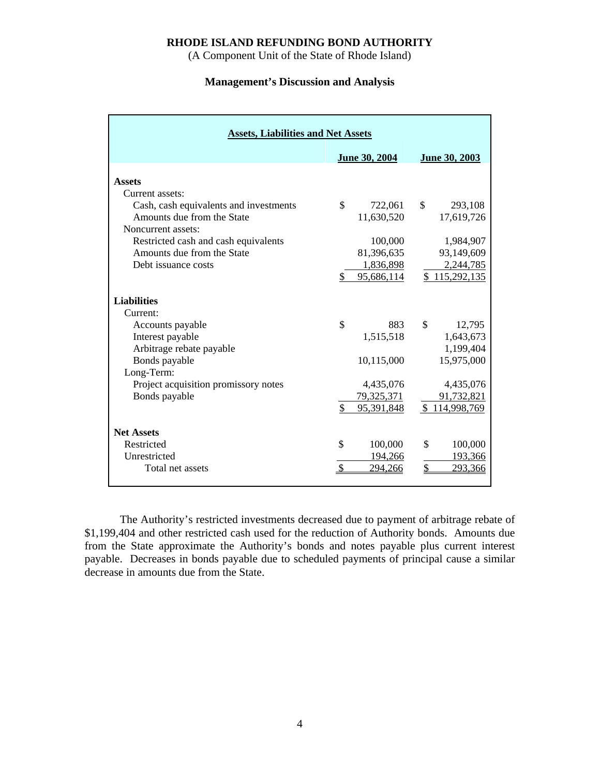(A Component Unit of the State of Rhode Island)

### **Management's Discussion and Analysis**

| <b>Assets, Liabilities and Net Assets</b>                                                                                                                                                                                   |                                                                                     |                                                                                                  |  |  |  |  |
|-----------------------------------------------------------------------------------------------------------------------------------------------------------------------------------------------------------------------------|-------------------------------------------------------------------------------------|--------------------------------------------------------------------------------------------------|--|--|--|--|
|                                                                                                                                                                                                                             | June 30, 2004                                                                       | June 30, 2003                                                                                    |  |  |  |  |
| <b>Assets</b><br>Current assets:<br>Cash, cash equivalents and investments<br>Amounts due from the State<br>Noncurrent assets:<br>Restricted cash and cash equivalents<br>Amounts due from the State<br>Debt issuance costs | \$<br>722,061<br>11,630,520<br>100,000<br>81,396,635<br>1,836,898<br>95,686,114     | \$<br>293,108<br>17,619,726<br>1,984,907<br>93,149,609<br>2,244,785<br>\$115,292,135             |  |  |  |  |
| <b>Liabilities</b><br>Current:<br>Accounts payable<br>Interest payable<br>Arbitrage rebate payable<br>Bonds payable<br>Long-Term:<br>Project acquisition promissory notes<br>Bonds payable                                  | \$<br>883<br>1,515,518<br>10,115,000<br>4,435,076<br>79,325,371<br>\$<br>95,391,848 | \$<br>12,795<br>1,643,673<br>1,199,404<br>15,975,000<br>4,435,076<br>91,732,821<br>\$114,998,769 |  |  |  |  |
| <b>Net Assets</b><br>Restricted<br>Unrestricted<br>Total net assets                                                                                                                                                         | \$<br>100,000<br>194,266<br>294,266                                                 | \$<br>100,000<br>193,366<br>\$<br>293,366                                                        |  |  |  |  |

 The Authority's restricted investments decreased due to payment of arbitrage rebate of \$1,199,404 and other restricted cash used for the reduction of Authority bonds. Amounts due from the State approximate the Authority's bonds and notes payable plus current interest payable. Decreases in bonds payable due to scheduled payments of principal cause a similar decrease in amounts due from the State.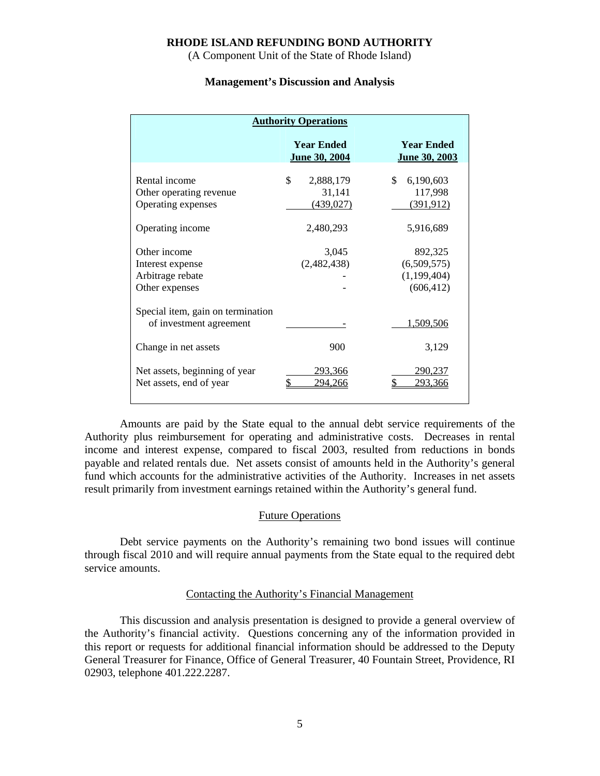(A Component Unit of the State of Rhode Island)

#### **Management's Discussion and Analysis**

| <b>Authority Operations</b>                                                          |                                         |                                                     |  |  |
|--------------------------------------------------------------------------------------|-----------------------------------------|-----------------------------------------------------|--|--|
|                                                                                      | <b>Year Ended</b><br>June 30, 2004      | <b>Year Ended</b><br>June 30, 2003                  |  |  |
| Rental income<br>Other operating revenue<br>Operating expenses                       | \$<br>2,888,179<br>31,141<br>(439, 027) | \$<br>6,190,603<br>117,998<br>(391, 912)            |  |  |
| Operating income                                                                     | 2,480,293                               | 5,916,689                                           |  |  |
| Other income<br>Interest expense<br>Arbitrage rebate<br>Other expenses               | 3,045<br>(2,482,438)                    | 892,325<br>(6,509,575)<br>(1,199,404)<br>(606, 412) |  |  |
| Special item, gain on termination<br>of investment agreement<br>Change in net assets | 900                                     | <u>1,509,506</u><br>3,129                           |  |  |
| Net assets, beginning of year<br>Net assets, end of year                             | 293,366<br>\$<br>294.266                | 290,237<br>\$<br>293.366                            |  |  |

 Amounts are paid by the State equal to the annual debt service requirements of the Authority plus reimbursement for operating and administrative costs. Decreases in rental income and interest expense, compared to fiscal 2003, resulted from reductions in bonds payable and related rentals due. Net assets consist of amounts held in the Authority's general fund which accounts for the administrative activities of the Authority. Increases in net assets result primarily from investment earnings retained within the Authority's general fund.

#### Future Operations

 Debt service payments on the Authority's remaining two bond issues will continue through fiscal 2010 and will require annual payments from the State equal to the required debt service amounts.

#### Contacting the Authority's Financial Management

 This discussion and analysis presentation is designed to provide a general overview of the Authority's financial activity. Questions concerning any of the information provided in this report or requests for additional financial information should be addressed to the Deputy General Treasurer for Finance, Office of General Treasurer, 40 Fountain Street, Providence, RI 02903, telephone 401.222.2287.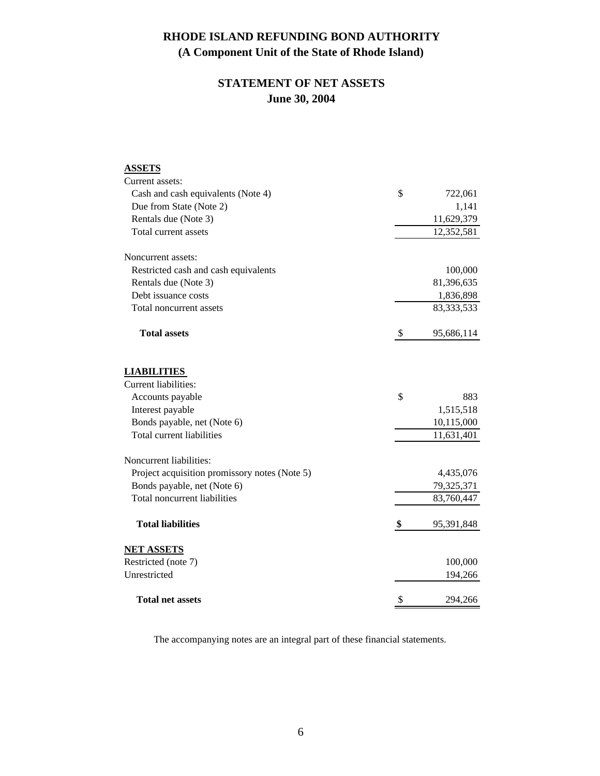# **STATEMENT OF NET ASSETS June 30, 2004**

| <b>ASSETS</b>                                 |                  |
|-----------------------------------------------|------------------|
| Current assets:                               |                  |
| Cash and cash equivalents (Note 4)            | \$<br>722,061    |
| Due from State (Note 2)                       | 1,141            |
| Rentals due (Note 3)                          | 11,629,379       |
| Total current assets                          | 12,352,581       |
| Noncurrent assets:                            |                  |
| Restricted cash and cash equivalents          | 100,000          |
| Rentals due (Note 3)                          | 81,396,635       |
| Debt issuance costs                           | 1,836,898        |
| Total noncurrent assets                       | 83, 333, 533     |
| <b>Total assets</b>                           | \$<br>95,686,114 |
| <b>LIABILITIES</b>                            |                  |
| <b>Current liabilities:</b>                   |                  |
| Accounts payable                              | \$<br>883        |
| Interest payable                              | 1,515,518        |
| Bonds payable, net (Note 6)                   | 10,115,000       |
| Total current liabilities                     | 11,631,401       |
| Noncurrent liabilities:                       |                  |
| Project acquisition promissory notes (Note 5) | 4,435,076        |
| Bonds payable, net (Note 6)                   | 79,325,371       |
| Total noncurrent liabilities                  | 83,760,447       |
| <b>Total liabilities</b>                      | \$<br>95,391,848 |
| <b>NET ASSETS</b>                             |                  |
| Restricted (note 7)                           | 100,000          |
| Unrestricted                                  | 194,266          |
| <b>Total net assets</b>                       | \$<br>294,266    |

The accompanying notes are an integral part of these financial statements.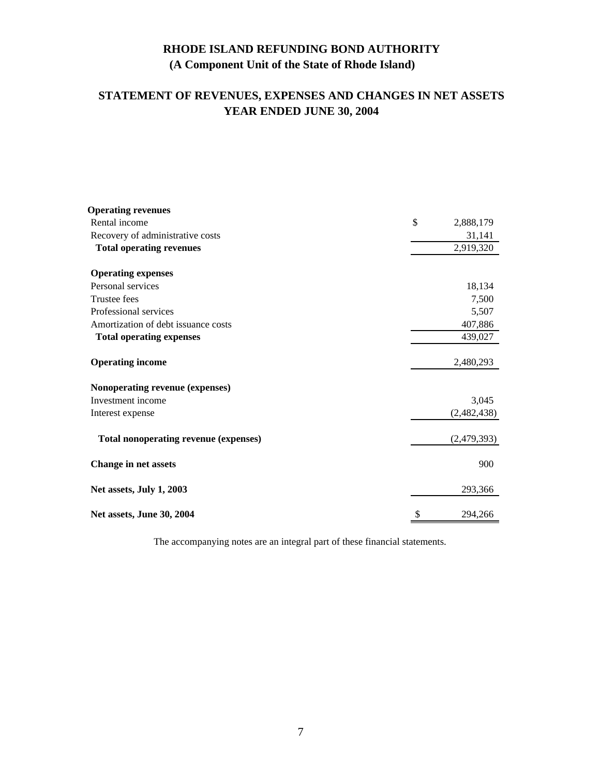# **STATEMENT OF REVENUES, EXPENSES AND CHANGES IN NET ASSETS YEAR ENDED JUNE 30, 2004**

| <b>Operating revenues</b>             |                 |
|---------------------------------------|-----------------|
| Rental income                         | \$<br>2,888,179 |
| Recovery of administrative costs      | 31,141          |
| <b>Total operating revenues</b>       | 2,919,320       |
| <b>Operating expenses</b>             |                 |
| Personal services                     | 18,134          |
| Trustee fees                          | 7,500           |
| Professional services                 | 5,507           |
| Amortization of debt issuance costs   | 407,886         |
| <b>Total operating expenses</b>       | 439,027         |
| <b>Operating income</b>               | 2,480,293       |
| Nonoperating revenue (expenses)       |                 |
| Investment income                     | 3,045           |
| Interest expense                      | (2,482,438)     |
| Total nonoperating revenue (expenses) | (2,479,393)     |
| <b>Change in net assets</b>           | 900             |
| Net assets, July 1, 2003              | 293,366         |
| Net assets, June 30, 2004             | \$<br>294,266   |

The accompanying notes are an integral part of these financial statements.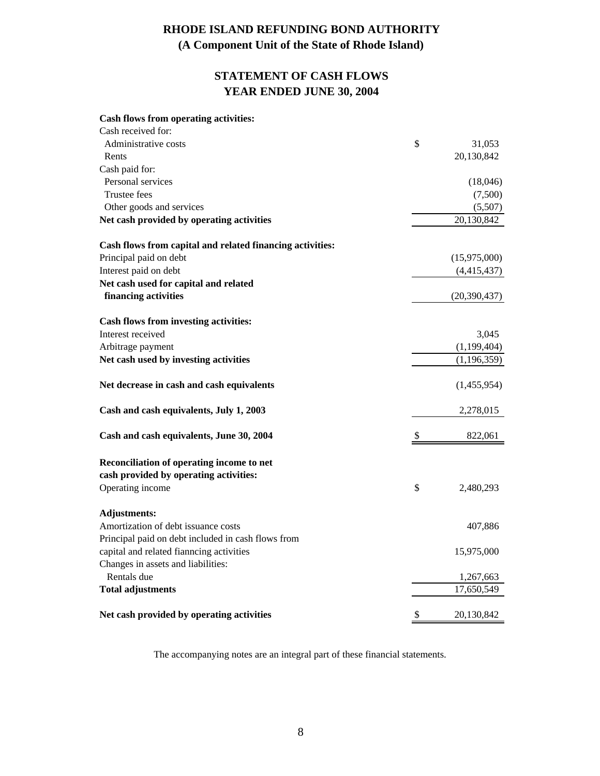# **STATEMENT OF CASH FLOWS YEAR ENDED JUNE 30, 2004**

#### **Cash flows from operating activities:**

| Cash received for:                                        |    |                |
|-----------------------------------------------------------|----|----------------|
| Administrative costs                                      | \$ | 31,053         |
| Rents                                                     |    | 20,130,842     |
| Cash paid for:                                            |    |                |
| Personal services                                         |    | (18,046)       |
| Trustee fees                                              |    | (7,500)        |
| Other goods and services                                  |    | (5,507)        |
| Net cash provided by operating activities                 |    | 20,130,842     |
| Cash flows from capital and related financing activities: |    |                |
| Principal paid on debt                                    |    | (15,975,000)   |
| Interest paid on debt                                     |    | (4,415,437)    |
| Net cash used for capital and related                     |    |                |
| financing activities                                      |    | (20, 390, 437) |
| <b>Cash flows from investing activities:</b>              |    |                |
| Interest received                                         |    | 3,045          |
| Arbitrage payment                                         |    | (1,199,404)    |
| Net cash used by investing activities                     |    | (1, 196, 359)  |
| Net decrease in cash and cash equivalents                 |    | (1,455,954)    |
| Cash and cash equivalents, July 1, 2003                   |    | 2,278,015      |
| Cash and cash equivalents, June 30, 2004                  | S  | 822,061        |
| Reconciliation of operating income to net                 |    |                |
| cash provided by operating activities:                    |    |                |
| Operating income                                          | \$ | 2,480,293      |
| <b>Adjustments:</b>                                       |    |                |
| Amortization of debt issuance costs                       |    | 407,886        |
| Principal paid on debt included in cash flows from        |    |                |
| capital and related fianncing activities                  |    | 15,975,000     |
| Changes in assets and liabilities:                        |    |                |
| Rentals due                                               |    | 1,267,663      |
| <b>Total adjustments</b>                                  |    | 17,650,549     |
| Net cash provided by operating activities                 | \$ | 20,130,842     |

The accompanying notes are an integral part of these financial statements.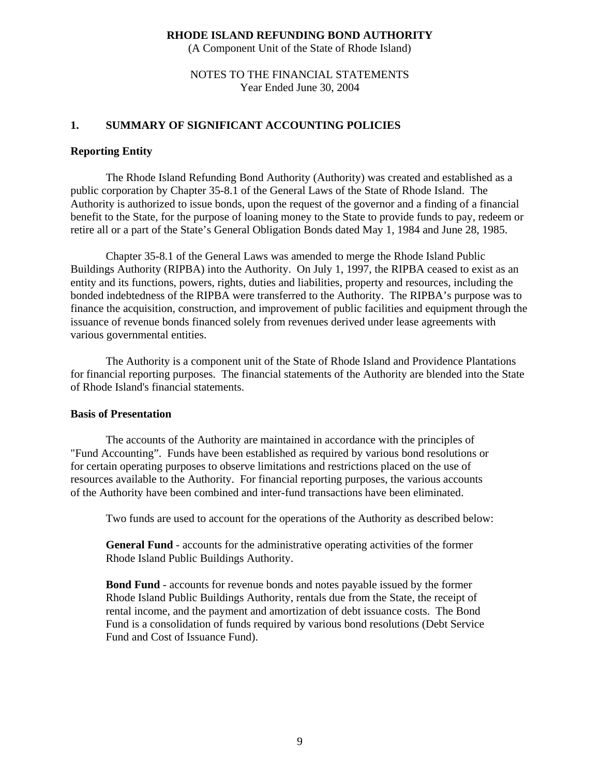(A Component Unit of the State of Rhode Island)

### NOTES TO THE FINANCIAL STATEMENTS Year Ended June 30, 2004

## **1. SUMMARY OF SIGNIFICANT ACCOUNTING POLICIES**

### **Reporting Entity**

The Rhode Island Refunding Bond Authority (Authority) was created and established as a public corporation by Chapter 35-8.1 of the General Laws of the State of Rhode Island. The Authority is authorized to issue bonds, upon the request of the governor and a finding of a financial benefit to the State, for the purpose of loaning money to the State to provide funds to pay, redeem or retire all or a part of the State's General Obligation Bonds dated May 1, 1984 and June 28, 1985.

Chapter 35-8.1 of the General Laws was amended to merge the Rhode Island Public Buildings Authority (RIPBA) into the Authority. On July 1, 1997, the RIPBA ceased to exist as an entity and its functions, powers, rights, duties and liabilities, property and resources, including the bonded indebtedness of the RIPBA were transferred to the Authority. The RIPBA's purpose was to finance the acquisition, construction, and improvement of public facilities and equipment through the issuance of revenue bonds financed solely from revenues derived under lease agreements with various governmental entities.

 The Authority is a component unit of the State of Rhode Island and Providence Plantations for financial reporting purposes. The financial statements of the Authority are blended into the State of Rhode Island's financial statements.

### **Basis of Presentation**

The accounts of the Authority are maintained in accordance with the principles of "Fund Accounting". Funds have been established as required by various bond resolutions or for certain operating purposes to observe limitations and restrictions placed on the use of resources available to the Authority. For financial reporting purposes, the various accounts of the Authority have been combined and inter-fund transactions have been eliminated.

Two funds are used to account for the operations of the Authority as described below:

 **General Fund** - accounts for the administrative operating activities of the former Rhode Island Public Buildings Authority.

 **Bond Fund** - accounts for revenue bonds and notes payable issued by the former Rhode Island Public Buildings Authority, rentals due from the State, the receipt of rental income, and the payment and amortization of debt issuance costs. The Bond Fund is a consolidation of funds required by various bond resolutions (Debt Service Fund and Cost of Issuance Fund).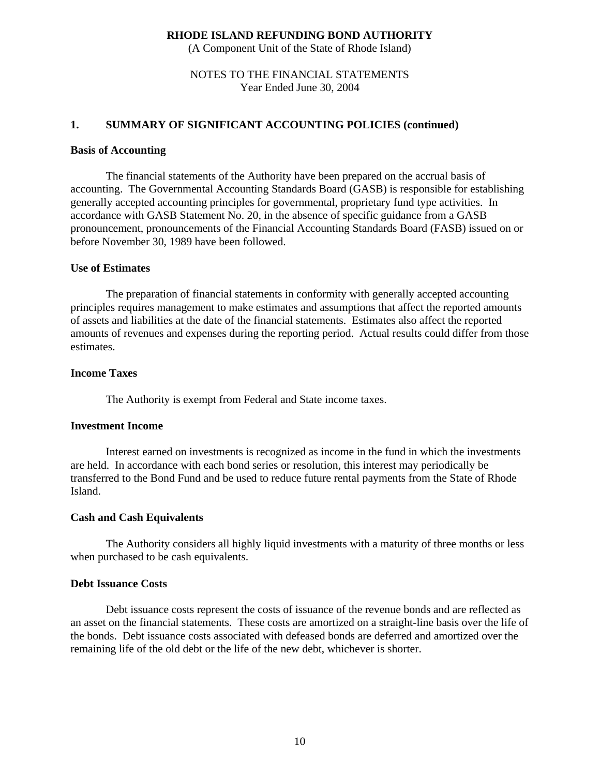(A Component Unit of the State of Rhode Island)

### NOTES TO THE FINANCIAL STATEMENTS Year Ended June 30, 2004

### **1. SUMMARY OF SIGNIFICANT ACCOUNTING POLICIES (continued)**

#### **Basis of Accounting**

The financial statements of the Authority have been prepared on the accrual basis of accounting. The Governmental Accounting Standards Board (GASB) is responsible for establishing generally accepted accounting principles for governmental, proprietary fund type activities. In accordance with GASB Statement No. 20, in the absence of specific guidance from a GASB pronouncement, pronouncements of the Financial Accounting Standards Board (FASB) issued on or before November 30, 1989 have been followed.

### **Use of Estimates**

 The preparation of financial statements in conformity with generally accepted accounting principles requires management to make estimates and assumptions that affect the reported amounts of assets and liabilities at the date of the financial statements. Estimates also affect the reported amounts of revenues and expenses during the reporting period. Actual results could differ from those estimates.

#### **Income Taxes**

The Authority is exempt from Federal and State income taxes.

## **Investment Income**

Interest earned on investments is recognized as income in the fund in which the investments are held. In accordance with each bond series or resolution, this interest may periodically be transferred to the Bond Fund and be used to reduce future rental payments from the State of Rhode Island.

### **Cash and Cash Equivalents**

 The Authority considers all highly liquid investments with a maturity of three months or less when purchased to be cash equivalents.

## **Debt Issuance Costs**

 Debt issuance costs represent the costs of issuance of the revenue bonds and are reflected as an asset on the financial statements. These costs are amortized on a straight-line basis over the life of the bonds. Debt issuance costs associated with defeased bonds are deferred and amortized over the remaining life of the old debt or the life of the new debt, whichever is shorter.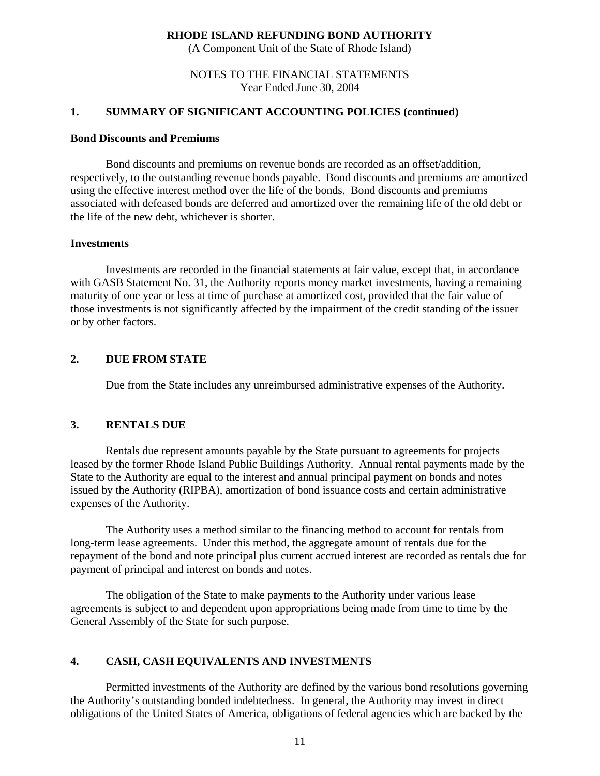(A Component Unit of the State of Rhode Island)

### NOTES TO THE FINANCIAL STATEMENTS Year Ended June 30, 2004

## **1. SUMMARY OF SIGNIFICANT ACCOUNTING POLICIES (continued)**

### **Bond Discounts and Premiums**

 Bond discounts and premiums on revenue bonds are recorded as an offset/addition, respectively, to the outstanding revenue bonds payable. Bond discounts and premiums are amortized using the effective interest method over the life of the bonds. Bond discounts and premiums associated with defeased bonds are deferred and amortized over the remaining life of the old debt or the life of the new debt, whichever is shorter.

### **Investments**

 Investments are recorded in the financial statements at fair value, except that, in accordance with GASB Statement No. 31, the Authority reports money market investments, having a remaining maturity of one year or less at time of purchase at amortized cost, provided that the fair value of those investments is not significantly affected by the impairment of the credit standing of the issuer or by other factors.

## **2. DUE FROM STATE**

Due from the State includes any unreimbursed administrative expenses of the Authority.

## **3. RENTALS DUE**

Rentals due represent amounts payable by the State pursuant to agreements for projects leased by the former Rhode Island Public Buildings Authority. Annual rental payments made by the State to the Authority are equal to the interest and annual principal payment on bonds and notes issued by the Authority (RIPBA), amortization of bond issuance costs and certain administrative expenses of the Authority.

The Authority uses a method similar to the financing method to account for rentals from long-term lease agreements. Under this method, the aggregate amount of rentals due for the repayment of the bond and note principal plus current accrued interest are recorded as rentals due for payment of principal and interest on bonds and notes.

The obligation of the State to make payments to the Authority under various lease agreements is subject to and dependent upon appropriations being made from time to time by the General Assembly of the State for such purpose.

## **4. CASH, CASH EQUIVALENTS AND INVESTMENTS**

Permitted investments of the Authority are defined by the various bond resolutions governing the Authority's outstanding bonded indebtedness. In general, the Authority may invest in direct obligations of the United States of America, obligations of federal agencies which are backed by the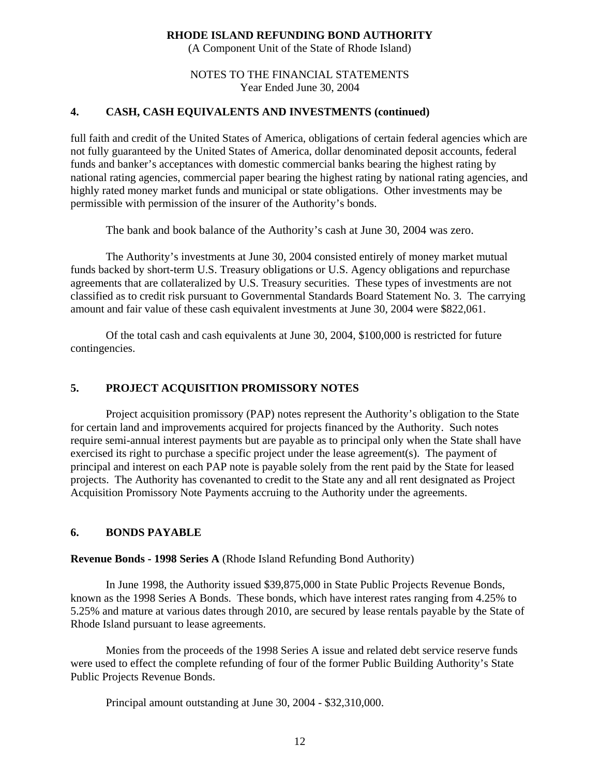(A Component Unit of the State of Rhode Island)

## NOTES TO THE FINANCIAL STATEMENTS Year Ended June 30, 2004

# **4. CASH, CASH EQUIVALENTS AND INVESTMENTS (continued)**

full faith and credit of the United States of America, obligations of certain federal agencies which are not fully guaranteed by the United States of America, dollar denominated deposit accounts, federal funds and banker's acceptances with domestic commercial banks bearing the highest rating by national rating agencies, commercial paper bearing the highest rating by national rating agencies, and highly rated money market funds and municipal or state obligations. Other investments may be permissible with permission of the insurer of the Authority's bonds.

The bank and book balance of the Authority's cash at June 30, 2004 was zero.

The Authority's investments at June 30, 2004 consisted entirely of money market mutual funds backed by short-term U.S. Treasury obligations or U.S. Agency obligations and repurchase agreements that are collateralized by U.S. Treasury securities. These types of investments are not classified as to credit risk pursuant to Governmental Standards Board Statement No. 3. The carrying amount and fair value of these cash equivalent investments at June 30, 2004 were \$822,061.

Of the total cash and cash equivalents at June 30, 2004, \$100,000 is restricted for future contingencies.

# **5. PROJECT ACQUISITION PROMISSORY NOTES**

 Project acquisition promissory (PAP) notes represent the Authority's obligation to the State for certain land and improvements acquired for projects financed by the Authority. Such notes require semi-annual interest payments but are payable as to principal only when the State shall have exercised its right to purchase a specific project under the lease agreement(s). The payment of principal and interest on each PAP note is payable solely from the rent paid by the State for leased projects. The Authority has covenanted to credit to the State any and all rent designated as Project Acquisition Promissory Note Payments accruing to the Authority under the agreements.

# **6. BONDS PAYABLE**

**Revenue Bonds - 1998 Series A** (Rhode Island Refunding Bond Authority)

 In June 1998, the Authority issued \$39,875,000 in State Public Projects Revenue Bonds, known as the 1998 Series A Bonds. These bonds, which have interest rates ranging from 4.25% to 5.25% and mature at various dates through 2010, are secured by lease rentals payable by the State of Rhode Island pursuant to lease agreements.

 Monies from the proceeds of the 1998 Series A issue and related debt service reserve funds were used to effect the complete refunding of four of the former Public Building Authority's State Public Projects Revenue Bonds.

Principal amount outstanding at June 30, 2004 - \$32,310,000.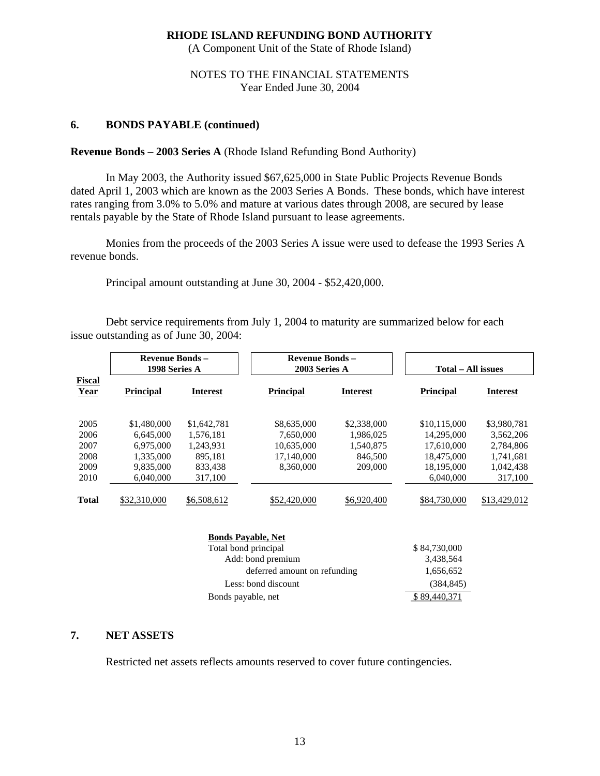(A Component Unit of the State of Rhode Island)

## NOTES TO THE FINANCIAL STATEMENTS Year Ended June 30, 2004

## **6. BONDS PAYABLE (continued)**

## **Revenue Bonds – 2003 Series A** (Rhode Island Refunding Bond Authority)

In May 2003, the Authority issued \$67,625,000 in State Public Projects Revenue Bonds dated April 1, 2003 which are known as the 2003 Series A Bonds. These bonds, which have interest rates ranging from 3.0% to 5.0% and mature at various dates through 2008, are secured by lease rentals payable by the State of Rhode Island pursuant to lease agreements.

 Monies from the proceeds of the 2003 Series A issue were used to defease the 1993 Series A revenue bonds.

Principal amount outstanding at June 30, 2004 - \$52,420,000.

Debt service requirements from July 1, 2004 to maturity are summarized below for each issue outstanding as of June 30, 2004:

|                                              | <b>Revenue Bonds -</b><br>1998 Series A                                      |                                                                        |                                                                   | <b>Revenue Bonds -</b><br>2003 Series A                     |                                                                                   | Total – All issues                                                         |
|----------------------------------------------|------------------------------------------------------------------------------|------------------------------------------------------------------------|-------------------------------------------------------------------|-------------------------------------------------------------|-----------------------------------------------------------------------------------|----------------------------------------------------------------------------|
| <b>Fiscal</b><br>Year                        | <b>Principal</b>                                                             | <b>Interest</b>                                                        | <b>Principal</b>                                                  | <b>Interest</b>                                             | <b>Principal</b>                                                                  | <b>Interest</b>                                                            |
| 2005<br>2006<br>2007<br>2008<br>2009<br>2010 | \$1,480,000<br>6.645,000<br>6.975,000<br>1,335,000<br>9.835,000<br>6.040.000 | \$1,642,781<br>1.576.181<br>1.243.931<br>895,181<br>833.438<br>317,100 | \$8,635,000<br>7.650,000<br>10,635,000<br>17,140,000<br>8.360,000 | \$2,338,000<br>1.986.025<br>1.540.875<br>846,500<br>209,000 | \$10,115,000<br>14.295,000<br>17,610,000<br>18,475,000<br>18.195.000<br>6.040.000 | \$3,980,781<br>3,562,206<br>2,784,806<br>1,741,681<br>1.042.438<br>317,100 |
| <b>Total</b>                                 | \$32,310,000                                                                 | \$6,508,612                                                            | \$52,420,000                                                      | \$6,920,400                                                 | \$84,730,000                                                                      | \$13,429,012                                                               |

| <b>Bonds Payable, Net</b>    |              |
|------------------------------|--------------|
| Total bond principal         | \$84,730,000 |
| Add: bond premium            | 3,438,564    |
| deferred amount on refunding | 1,656,652    |
| Less: bond discount          | (384, 845)   |
| Bonds payable, net           |              |

## **7. NET ASSETS**

Restricted net assets reflects amounts reserved to cover future contingencies.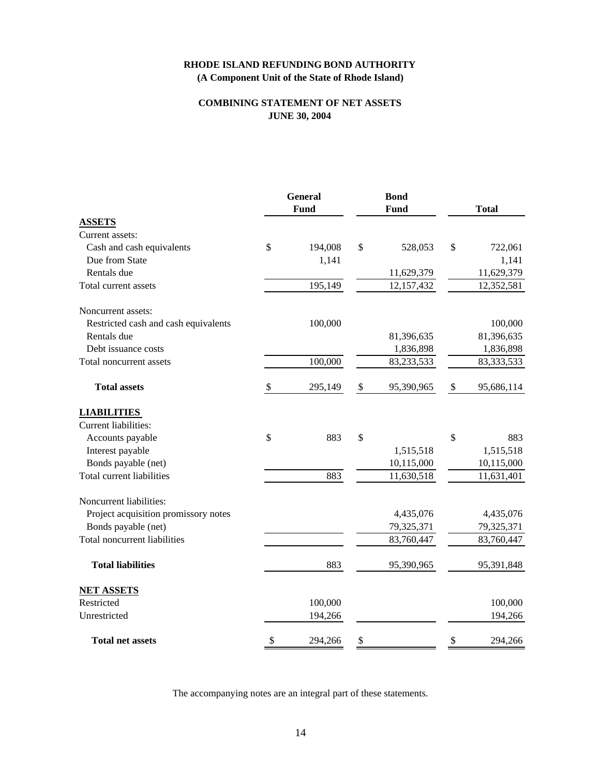### **COMBINING STATEMENT OF NET ASSETS JUNE 30, 2004**

|                                      | <b>General</b><br><b>Fund</b> | <b>Bond</b><br><b>Fund</b> |                           | <b>Total</b> |
|--------------------------------------|-------------------------------|----------------------------|---------------------------|--------------|
| <b>ASSETS</b>                        |                               |                            |                           |              |
| Current assets:                      |                               |                            |                           |              |
| Cash and cash equivalents            | \$<br>194,008                 | \$<br>528,053              | \$                        | 722,061      |
| Due from State                       | 1,141                         |                            |                           | 1,141        |
| Rentals due                          |                               | 11,629,379                 |                           | 11,629,379   |
| Total current assets                 | 195,149                       | 12,157,432                 |                           | 12,352,581   |
| Noncurrent assets:                   |                               |                            |                           |              |
| Restricted cash and cash equivalents | 100,000                       |                            |                           | 100,000      |
| Rentals due                          |                               | 81,396,635                 |                           | 81,396,635   |
| Debt issuance costs                  |                               | 1,836,898                  |                           | 1,836,898    |
| Total noncurrent assets              | 100,000                       | 83, 233, 533               |                           | 83, 333, 533 |
| <b>Total assets</b>                  | \$<br>295,149                 | \$<br>95,390,965           | $\boldsymbol{\mathsf{S}}$ | 95,686,114   |
| <b>LIABILITIES</b>                   |                               |                            |                           |              |
| Current liabilities:                 |                               |                            |                           |              |
| Accounts payable                     | \$<br>883                     | \$                         | \$                        | 883          |
| Interest payable                     |                               | 1,515,518                  |                           | 1,515,518    |
| Bonds payable (net)                  |                               | 10,115,000                 |                           | 10,115,000   |
| <b>Total current liabilities</b>     | 883                           | 11,630,518                 |                           | 11,631,401   |
| Noncurrent liabilities:              |                               |                            |                           |              |
| Project acquisition promissory notes |                               | 4,435,076                  |                           | 4,435,076    |
| Bonds payable (net)                  |                               | 79,325,371                 |                           | 79,325,371   |
| <b>Total noncurrent liabilities</b>  |                               | 83,760,447                 |                           | 83,760,447   |
| <b>Total liabilities</b>             | 883                           | 95,390,965                 |                           | 95,391,848   |
| <b>NET ASSETS</b>                    |                               |                            |                           |              |
| Restricted                           | 100,000                       |                            |                           | 100,000      |
| Unrestricted                         | 194,266                       |                            |                           | 194,266      |
| <b>Total net assets</b>              | \$<br>294,266                 | \$                         | \$                        | 294,266      |

The accompanying notes are an integral part of these statements.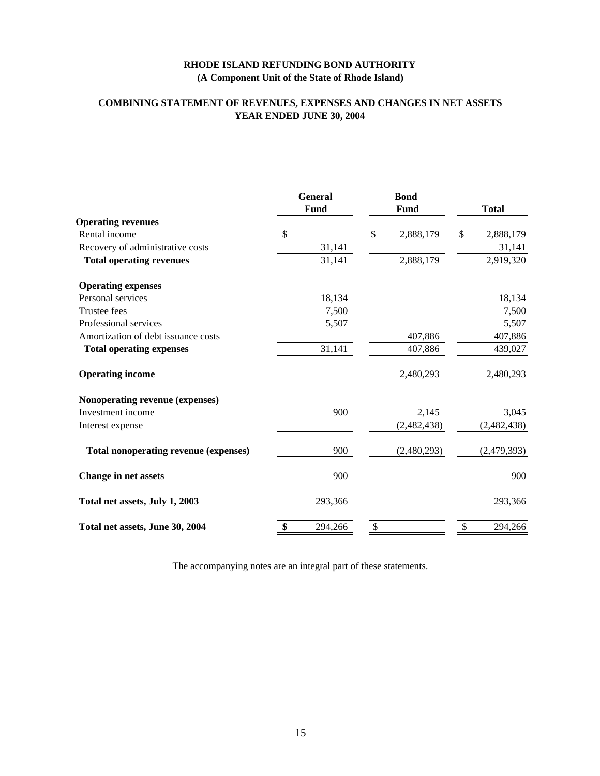## **COMBINING STATEMENT OF REVENUES, EXPENSES AND CHANGES IN NET ASSETS YEAR ENDED JUNE 30, 2004**

|                                              | <b>General</b><br>Fund | <b>Bond</b><br>Fund | <b>Total</b>    |
|----------------------------------------------|------------------------|---------------------|-----------------|
| <b>Operating revenues</b>                    |                        |                     |                 |
| Rental income                                | \$                     | \$<br>2,888,179     | \$<br>2,888,179 |
| Recovery of administrative costs             | 31,141                 |                     | 31,141          |
| <b>Total operating revenues</b>              | 31,141                 | 2,888,179           | 2,919,320       |
| <b>Operating expenses</b>                    |                        |                     |                 |
| Personal services                            | 18,134                 |                     | 18,134          |
| Trustee fees                                 | 7,500                  |                     | 7,500           |
| Professional services                        | 5,507                  |                     | 5,507           |
| Amortization of debt issuance costs          |                        | 407,886             | 407,886         |
| <b>Total operating expenses</b>              | 31,141                 | 407,886             | 439,027         |
| <b>Operating income</b>                      |                        | 2,480,293           | 2,480,293       |
| Nonoperating revenue (expenses)              |                        |                     |                 |
| Investment income                            | 900                    | 2,145               | 3,045           |
| Interest expense                             |                        | (2,482,438)         | (2,482,438)     |
| <b>Total nonoperating revenue (expenses)</b> | 900                    | (2,480,293)         | (2,479,393)     |
| <b>Change in net assets</b>                  | 900                    |                     | 900             |
| Total net assets, July 1, 2003               | 293,366                |                     | 293,366         |
| Total net assets, June 30, 2004              | \$<br>294,266          | \$                  | \$<br>294,266   |

The accompanying notes are an integral part of these statements.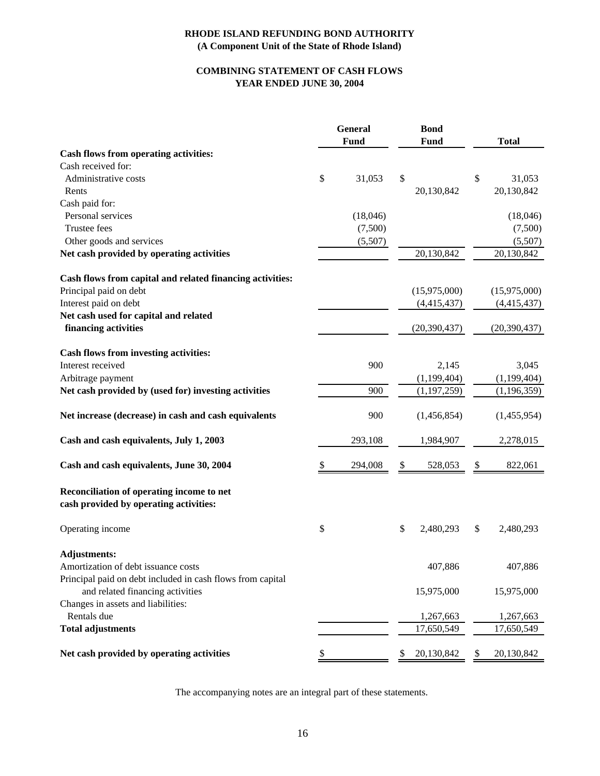## **COMBINING STATEMENT OF CASH FLOWS YEAR ENDED JUNE 30, 2004**

|                                                                                     | <b>General</b><br><b>Fund</b> | <b>Bond</b><br>Fund | <b>Total</b>     |
|-------------------------------------------------------------------------------------|-------------------------------|---------------------|------------------|
| Cash flows from operating activities:                                               |                               |                     |                  |
| Cash received for:                                                                  |                               |                     |                  |
| Administrative costs                                                                | \$<br>31,053                  | \$                  | \$<br>31,053     |
| Rents                                                                               |                               | 20,130,842          | 20,130,842       |
| Cash paid for:                                                                      |                               |                     |                  |
| Personal services                                                                   | (18,046)                      |                     | (18,046)         |
| Trustee fees                                                                        | (7,500)                       |                     | (7,500)          |
| Other goods and services                                                            | (5,507)                       |                     | (5,507)          |
| Net cash provided by operating activities                                           |                               | 20,130,842          | 20,130,842       |
| Cash flows from capital and related financing activities:                           |                               |                     |                  |
| Principal paid on debt                                                              |                               | (15,975,000)        | (15,975,000)     |
| Interest paid on debt                                                               |                               | (4,415,437)         | (4,415,437)      |
| Net cash used for capital and related                                               |                               |                     |                  |
| financing activities                                                                |                               | (20, 390, 437)      | (20, 390, 437)   |
| Cash flows from investing activities:                                               |                               |                     |                  |
| Interest received                                                                   | 900                           | 2,145               | 3,045            |
| Arbitrage payment                                                                   |                               | (1,199,404)         | (1, 199, 404)    |
| Net cash provided by (used for) investing activities                                | 900                           | (1, 197, 259)       | (1, 196, 359)    |
| Net increase (decrease) in cash and cash equivalents                                | 900                           | (1,456,854)         | (1,455,954)      |
| Cash and cash equivalents, July 1, 2003                                             | 293,108                       | 1,984,907           | 2,278,015        |
| Cash and cash equivalents, June 30, 2004                                            | \$<br>294,008                 | \$<br>528,053       | \$<br>822,061    |
| Reconciliation of operating income to net<br>cash provided by operating activities: |                               |                     |                  |
| Operating income                                                                    | \$                            | \$<br>2,480,293     | \$<br>2,480,293  |
| <b>Adjustments:</b>                                                                 |                               |                     |                  |
| Amortization of debt issuance costs                                                 |                               | 407,886             | 407,886          |
| Principal paid on debt included in cash flows from capital                          |                               |                     |                  |
| and related financing activities                                                    |                               | 15,975,000          | 15,975,000       |
| Changes in assets and liabilities:                                                  |                               |                     |                  |
| Rentals due                                                                         |                               | 1,267,663           | 1,267,663        |
| <b>Total adjustments</b>                                                            |                               | 17,650,549          | 17,650,549       |
| Net cash provided by operating activities                                           | \$                            | \$<br>20,130,842    | \$<br>20,130,842 |

The accompanying notes are an integral part of these statements.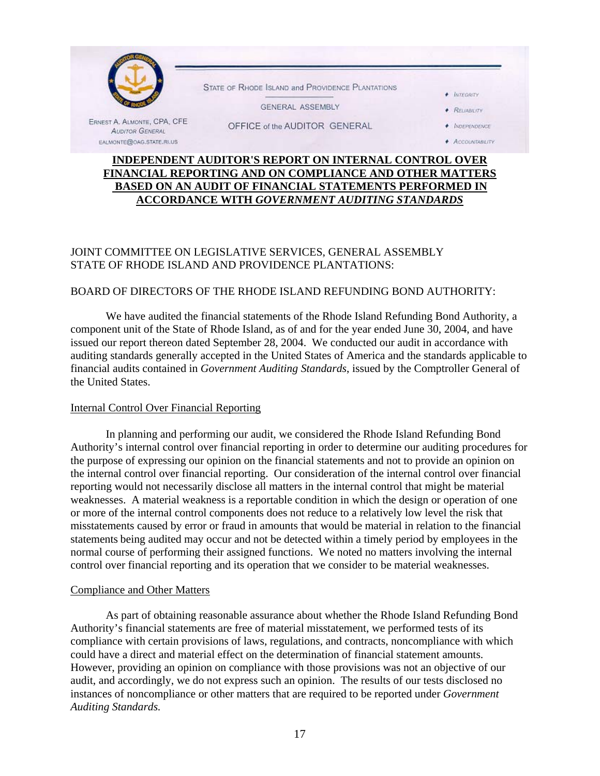

# **INDEPENDENT AUDITOR'S REPORT ON INTERNAL CONTROL OVER FINANCIAL REPORTING AND ON COMPLIANCE AND OTHER MATTERS BASED ON AN AUDIT OF FINANCIAL STATEMENTS PERFORMED IN ACCORDANCE WITH** *GOVERNMENT AUDITING STANDARDS*

# JOINT COMMITTEE ON LEGISLATIVE SERVICES, GENERAL ASSEMBLY STATE OF RHODE ISLAND AND PROVIDENCE PLANTATIONS:

## BOARD OF DIRECTORS OF THE RHODE ISLAND REFUNDING BOND AUTHORITY:

We have audited the financial statements of the Rhode Island Refunding Bond Authority, a component unit of the State of Rhode Island, as of and for the year ended June 30, 2004, and have issued our report thereon dated September 28, 2004. We conducted our audit in accordance with auditing standards generally accepted in the United States of America and the standards applicable to financial audits contained in *Government Auditing Standards*, issued by the Comptroller General of the United States.

### Internal Control Over Financial Reporting

 In planning and performing our audit, we considered the Rhode Island Refunding Bond Authority's internal control over financial reporting in order to determine our auditing procedures for the purpose of expressing our opinion on the financial statements and not to provide an opinion on the internal control over financial reporting. Our consideration of the internal control over financial reporting would not necessarily disclose all matters in the internal control that might be material weaknesses. A material weakness is a reportable condition in which the design or operation of one or more of the internal control components does not reduce to a relatively low level the risk that misstatements caused by error or fraud in amounts that would be material in relation to the financial statements being audited may occur and not be detected within a timely period by employees in the normal course of performing their assigned functions. We noted no matters involving the internal control over financial reporting and its operation that we consider to be material weaknesses.

### Compliance and Other Matters

As part of obtaining reasonable assurance about whether the Rhode Island Refunding Bond Authority's financial statements are free of material misstatement, we performed tests of its compliance with certain provisions of laws, regulations, and contracts, noncompliance with which could have a direct and material effect on the determination of financial statement amounts. However, providing an opinion on compliance with those provisions was not an objective of our audit, and accordingly, we do not express such an opinion. The results of our tests disclosed no instances of noncompliance or other matters that are required to be reported under *Government Auditing Standards.*